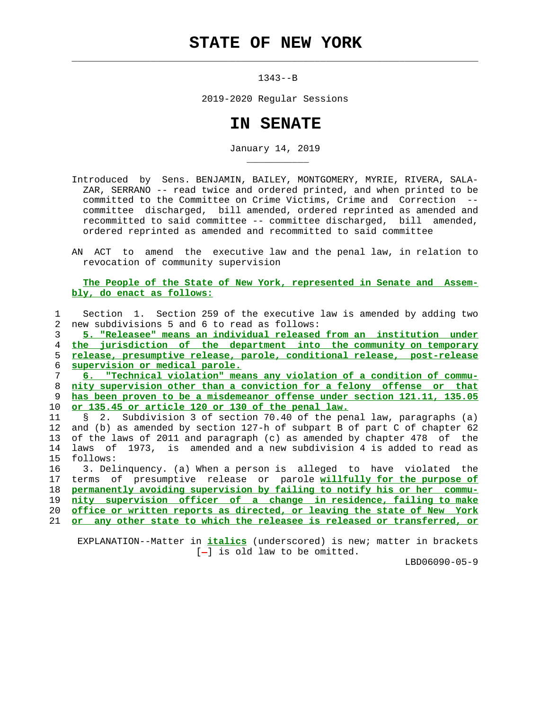## **STATE OF NEW YORK**

 $\mathcal{L}_\text{max} = \frac{1}{2} \sum_{i=1}^{n} \frac{1}{2} \sum_{i=1}^{n} \frac{1}{2} \sum_{i=1}^{n} \frac{1}{2} \sum_{i=1}^{n} \frac{1}{2} \sum_{i=1}^{n} \frac{1}{2} \sum_{i=1}^{n} \frac{1}{2} \sum_{i=1}^{n} \frac{1}{2} \sum_{i=1}^{n} \frac{1}{2} \sum_{i=1}^{n} \frac{1}{2} \sum_{i=1}^{n} \frac{1}{2} \sum_{i=1}^{n} \frac{1}{2} \sum_{i=1}^{n} \frac{1$ 

\_\_\_\_\_\_\_\_\_\_\_

1343--B

2019-2020 Regular Sessions

## **IN SENATE**

January 14, 2019

- Introduced by Sens. BENJAMIN, BAILEY, MONTGOMERY, MYRIE, RIVERA, SALA- ZAR, SERRANO -- read twice and ordered printed, and when printed to be committed to the Committee on Crime Victims, Crime and Correction - committee discharged, bill amended, ordered reprinted as amended and recommitted to said committee -- committee discharged, bill amended, ordered reprinted as amended and recommitted to said committee
- AN ACT to amend the executive law and the penal law, in relation to revocation of community supervision

## **The People of the State of New York, represented in Senate and Assem bly, do enact as follows:**

|    | Section 1. Section 259 of the executive law is amended by adding two     |
|----|--------------------------------------------------------------------------|
| 2. | new subdivisions 5 and 6 to read as follows:                             |
| 3  | 5. "Releasee" means an individual released from an institution under     |
| 4  | the jurisdiction of the department into the community on temporary       |
| 5  | release, presumptive release, parole, conditional release, post-release  |
| 6  | supervision or medical parole.                                           |
| 7  | 6. "Technical violation" means any violation of a condition of commu-    |
| 8  | nity supervision other than a conviction for a felony offense or that    |
| 9  | has been proven to be a misdemeanor offense under section 121.11, 135.05 |
| 10 | or 135.45 or article 120 or 130 of the penal law.                        |
| 11 | § 2. Subdivision 3 of section 70.40 of the penal law, paragraphs (a)     |
| 12 | and (b) as amended by section 127-h of subpart B of part C of chapter 62 |
| 13 | of the laws of 2011 and paragraph (c) as amended by chapter 478 of the   |
| 14 | laws of 1973, is amended and a new subdivision 4 is added to read as     |
| 15 | follows:                                                                 |
| 16 | 3. Delinquency. (a) When a person is alleged to have violated the        |
| 17 | terms of presumptive release or parole willfully for the purpose of      |
| 18 | permanently avoiding supervision by failing to notify his or her commu-  |
| 19 | nity supervision officer of a change in residence, failing to make       |
| 20 | office or written reports as directed, or leaving the state of New York  |
| 21 | or any other state to which the releasee is released or transferred, or  |
|    | $\overline{D}$                                                           |

 EXPLANATION--Matter in **italics** (underscored) is new; matter in brackets [-] is old law to be omitted.

LBD06090-05-9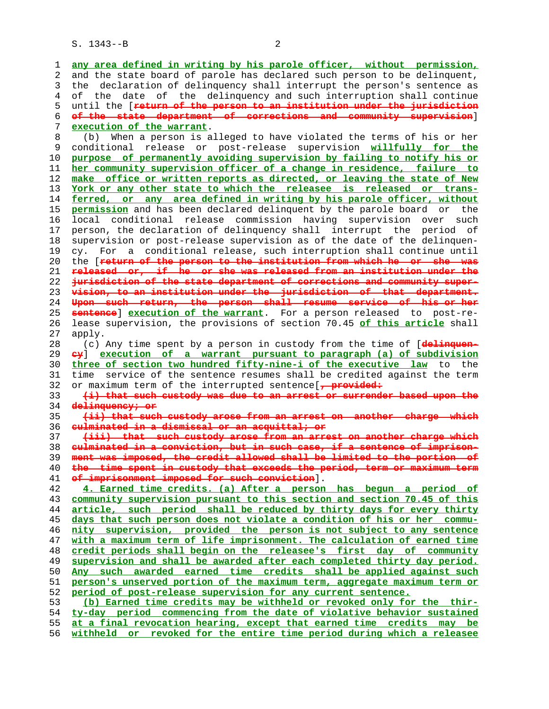**any area defined in writing by his parole officer, without permission,** 2 and the state board of parole has declared such person to be delinquent, 3 the declaration of delinquency shall interrupt the person's sentence as 4 of the date of the delinquency and such interruption shall continue 5 until the [**return of the person to an institution under the jurisdiction of the state department of corrections and community supervision**] **execution of the warrant**. 8 (b) When a person is alleged to have violated the terms of his or her<br>9 conditional release or post-release supervision willfully for the 9 conditional release or post-release supervision **willfully for the purpose of permanently avoiding supervision by failing to notify his or her community supervision officer of a change in residence, failure to make office or written reports as directed, or leaving the state of New York or any other state to which the releasee is released or trans- ferred, or any area defined in writing by his parole officer, without permission** and has been declared delinquent by the parole board or the 16 local conditional release commission having supervision over such 17 person, the declaration of delinquency shall interrupt the period of 18 supervision or post-release supervision as of the date of the delinquen- 19 cy. For a conditional release, such interruption shall continue until 20 the [**return of the person to the institution from which he or she was released or, if he or she was released from an institution under the jurisdiction of the state department of corrections and community super- vision, to an institution under the jurisdiction of that department. Upon such return, the person shall resume service of his or her sentence**] **execution of the warrant**. For a person released to post-re- 26 lease supervision, the provisions of section 70.45 **of this article** shall 27 apply. 28 (c) Any time spent by a person in custody from the time of [**delinquen- cy**] **execution of a warrant pursuant to paragraph (a) of subdivision three of section two hundred fifty-nine-i of the executive law** to the 31 time service of the sentence resumes shall be credited against the term 32 or maximum term of the interrupted sentence[**, provided: (i) that such custody was due to an arrest or surrender based upon the delinquency; or (ii) that such custody arose from an arrest on another charge which culminated in a dismissal or an acquittal; or (iii) that such custody arose from an arrest on another charge which culminated in a conviction, but in such case, if a sentence of imprison- ment was imposed, the credit allowed shall be limited to the portion of the time spent in custody that exceeds the period, term or maximum term of imprisonment imposed for such conviction**]. **4. Earned time credits. (a) After a person has begun a period of community supervision pursuant to this section and section 70.45 of this article, such period shall be reduced by thirty days for every thirty days that such person does not violate a condition of his or her commu- nity supervision, provided the person is not subject to any sentence with a maximum term of life imprisonment. The calculation of earned time credit periods shall begin on the releasee's first day of community supervision and shall be awarded after each completed thirty day period. Any such awarded earned time credits shall be applied against such person's unserved portion of the maximum term, aggregate maximum term or period of post-release supervision for any current sentence. (b) Earned time credits may be withheld or revoked only for the thir- ty-day period commencing from the date of violative behavior sustained at a final revocation hearing, except that earned time credits may be withheld or revoked for the entire time period during which a releasee**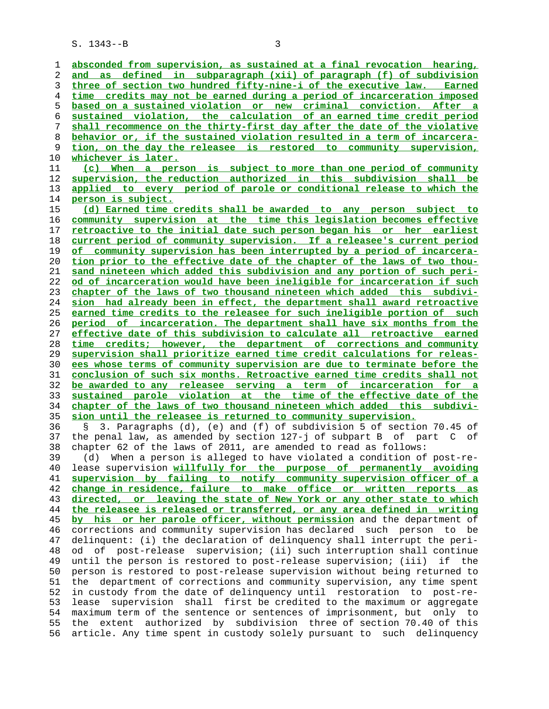**absconded from supervision, as sustained at a final revocation hearing, and as defined in subparagraph (xii) of paragraph (f) of subdivision three of section two hundred fifty-nine-i of the executive law. Earned time credits may not be earned during a period of incarceration imposed based on a sustained violation or new criminal conviction. After a sustained violation, the calculation of an earned time credit period shall recommence on the thirty-first day after the date of the violative behavior or, if the sustained violation resulted in a term of incarcera- tion, on the day the releasee is restored to community supervision, whichever is later. (c) When a person is subject to more than one period of community supervision, the reduction authorized in this subdivision shall be applied to every period of parole or conditional release to which the person is subject. (d) Earned time credits shall be awarded to any person subject to community supervision at the time this legislation becomes effective retroactive to the initial date such person began his or her earliest current period of community supervision. If a releasee's current period of community supervision has been interrupted by a period of incarcera- tion prior to the effective date of the chapter of the laws of two thou- sand nineteen which added this subdivision and any portion of such peri- od of incarceration would have been ineligible for incarceration if such chapter of the laws of two thousand nineteen which added this subdivi- sion had already been in effect, the department shall award retroactive earned time credits to the releasee for such ineligible portion of such period of incarceration. The department shall have six months from the effective date of this subdivision to calculate all retroactive earned time credits; however, the department of corrections and community supervision shall prioritize earned time credit calculations for releas- ees whose terms of community supervision are due to terminate before the conclusion of such six months. Retroactive earned time credits shall not be awarded to any releasee serving a term of incarceration for a sustained parole violation at the time of the effective date of the chapter of the laws of two thousand nineteen which added this subdivi- sion until the releasee is returned to community supervision.** 36 § 3. Paragraphs (d), (e) and (f) of subdivision 5 of section 70.45 of 37 the penal law, as amended by section 127-j of subpart B of part C of 38 chapter 62 of the laws of 2011, are amended to read as follows: 39 (d) When a person is alleged to have violated a condition of post-re- 40 lease supervision **willfully for the purpose of permanently avoiding supervision by failing to notify community supervision officer of a change in residence, failure to make office or written reports as directed, or leaving the state of New York or any other state to which the releasee is released or transferred, or any area defined in writing by his or her parole officer, without permission** and the department of 46 corrections and community supervision has declared such person to be 47 delinquent: (i) the declaration of delinquency shall interrupt the peri- 48 od of post-release supervision; (ii) such interruption shall continue 49 until the person is restored to post-release supervision; (iii) if the 50 person is restored to post-release supervision without being returned to 51 the department of corrections and community supervision, any time spent 52 in custody from the date of delinquency until restoration to post-re- 53 lease supervision shall first be credited to the maximum or aggregate 54 maximum term of the sentence or sentences of imprisonment, but only to 55 the extent authorized by subdivision three of section 70.40 of this 56 article. Any time spent in custody solely pursuant to such delinquency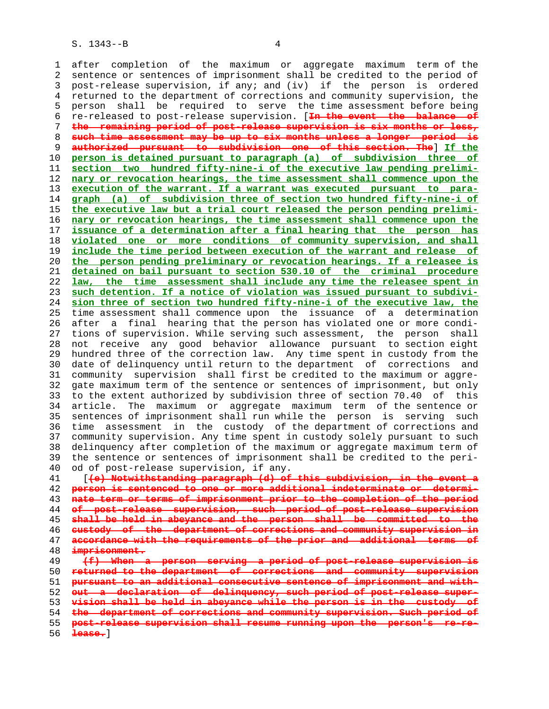1 after completion of the maximum or aggregate maximum term of the 2 sentence or sentences of imprisonment shall be credited to the period of 3 post-release supervision, if any; and (iv) if the person is ordered 4 returned to the department of corrections and community supervision, the 5 person shall be required to serve the time assessment before being 6 re-released to post-release supervision. [**In the event the balance of** 7 **the remaining period of post-release supervision is six months or less,** 8 **such time assessment may be up to six months unless a longer period is** 9 **authorized pursuant to subdivision one of this section. The**] **If the** 10 **person is detained pursuant to paragraph (a) of subdivision three of** 11 **section two hundred fifty-nine-i of the executive law pending prelimi-** 12 **nary or revocation hearings, the time assessment shall commence upon the** 13 **execution of the warrant. If a warrant was executed pursuant to para-** 14 **graph (a) of subdivision three of section two hundred fifty-nine-i of** 15 **the executive law but a trial court released the person pending prelimi-** 16 **nary or revocation hearings, the time assessment shall commence upon the** 17 **issuance of a determination after a final hearing that the person has** 18 **violated one or more conditions of community supervision, and shall** 19 **include the time period between execution of the warrant and release of** 20 **the person pending preliminary or revocation hearings. If a releasee is** 21 **detained on bail pursuant to section 530.10 of the criminal procedure** 22 **law, the time assessment shall include any time the releasee spent in** 23 **such detention. If a notice of violation was issued pursuant to subdivi-** 24 **sion three of section two hundred fifty-nine-i of the executive law, the** 25 time assessment shall commence upon the issuance of a determination 26 after a final hearing that the person has violated one or more condi- 27 tions of supervision. While serving such assessment, the person shall 28 not receive any good behavior allowance pursuant to section eight 29 hundred three of the correction law. Any time spent in custody from the 30 date of delinquency until return to the department of corrections and 31 community supervision shall first be credited to the maximum or aggre- 32 gate maximum term of the sentence or sentences of imprisonment, but only 33 to the extent authorized by subdivision three of section 70.40 of this 34 article. The maximum or aggregate maximum term of the sentence or 35 sentences of imprisonment shall run while the person is serving such 36 time assessment in the custody of the department of corrections and 37 community supervision. Any time spent in custody solely pursuant to such 38 delinquency after completion of the maximum or aggregate maximum term of 39 the sentence or sentences of imprisonment shall be credited to the peri- 40 od of post-release supervision, if any. 41 [**(e) Notwithstanding paragraph (d) of this subdivision, in the event a**

**person is sentenced to one or more additional indeterminate or determi- nate term or terms of imprisonment prior to the completion of the period of post-release supervision, such period of post-release supervision shall be held in abeyance and the person shall be committed to the custody of the department of corrections and community supervision in accordance with the requirements of the prior and additional terms of imprisonment. (f) When a person serving a period of post-release supervision is returned to the department of corrections and community supervision pursuant to an additional consecutive sentence of imprisonment and with- out a declaration of delinquency, such period of post-release super- vision shall be held in abeyance while the person is in the custody of the department of corrections and community supervision. Such period of**

 55 **post-release supervision shall resume running upon the person's re-re-** 56 **lease.**]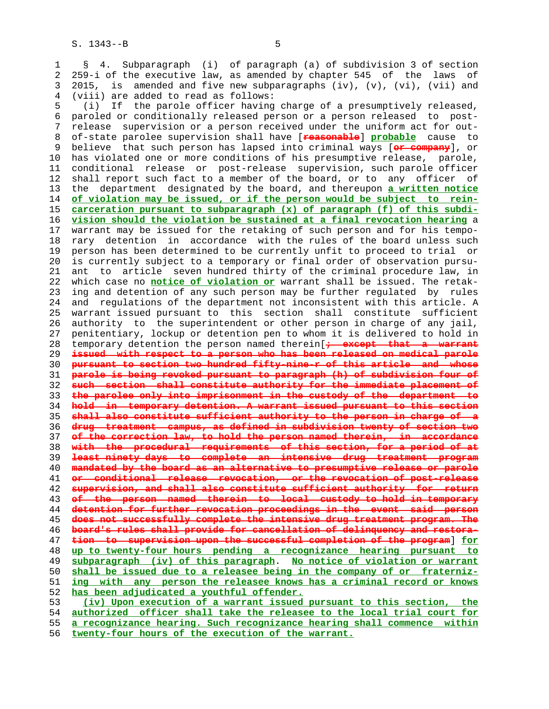1 § 4. Subparagraph (i) of paragraph (a) of subdivision 3 of section 2 259-i of the executive law, as amended by chapter 545 of the laws of 3 2015, is amended and five new subparagraphs (iv), (v), (vi), (vii) and 4 (viii) are added to read as follows:

 5 (i) If the parole officer having charge of a presumptively released, 6 paroled or conditionally released person or a person released to post- 7 release supervision or a person received under the uniform act for out- 8 of-state parolee supervision shall have [**reasonable**] **probable** cause to 9 believe that such person has lapsed into criminal ways [**or company**], or 10 has violated one or more conditions of his presumptive release, parole, 11 conditional release or post-release supervision, such parole officer 12 shall report such fact to a member of the board, or to any officer of 13 the department designated by the board, and thereupon **a written notice** 14 **of violation may be issued, or if the person would be subject to rein-** 15 **carceration pursuant to subparagraph (x) of paragraph (f) of this subdi-** 16 **vision should the violation be sustained at a final revocation hearing** a 17 warrant may be issued for the retaking of such person and for his tempo- 18 rary detention in accordance with the rules of the board unless such 19 person has been determined to be currently unfit to proceed to trial or 20 is currently subject to a temporary or final order of observation pursu- 21 ant to article seven hundred thirty of the criminal procedure law, in 22 which case no **notice of violation or** warrant shall be issued. The retak- 23 ing and detention of any such person may be further regulated by rules 24 and regulations of the department not inconsistent with this article. A 25 warrant issued pursuant to this section shall constitute sufficient 26 authority to the superintendent or other person in charge of any jail, 27 penitentiary, lockup or detention pen to whom it is delivered to hold in 28 temporary detention the person named therein[**; except that a warrant** 29 **issued with respect to a person who has been released on medical parole** 30 **pursuant to section two hundred fifty-nine-r of this article and whose** 31 **parole is being revoked pursuant to paragraph (h) of subdivision four of** 32 **such section shall constitute authority for the immediate placement of** 33 **the parolee only into imprisonment in the custody of the department to** 34 **hold in temporary detention. A warrant issued pursuant to this section** 35 **shall also constitute sufficient authority to the person in charge of a** 36 **drug treatment campus, as defined in subdivision twenty of section two** 37 **of the correction law, to hold the person named therein, in accordance** 38 **with the procedural requirements of this section, for a period of at** 39 **least ninety days to complete an intensive drug treatment program** 40 **mandated by the board as an alternative to presumptive release or parole** 41 **or conditional release revocation, or the revocation of post-release** 42 **supervision, and shall also constitute sufficient authority for return** 43 **of the person named therein to local custody to hold in temporary** 44 **detention for further revocation proceedings in the event said person** 45 **does not successfully complete the intensive drug treatment program. The** 46 **board's rules shall provide for cancellation of delinquency and restora-** 47 **tion to supervision upon the successful completion of the program**] **for** 48 **up to twenty-four hours pending a recognizance hearing pursuant to** 49 **subparagraph (iv) of this paragraph**. **No notice of violation or warrant** 50 **shall be issued due to a releasee being in the company of or fraterniz-** 51 **ing with any person the releasee knows has a criminal record or knows** 52 **has been adjudicated a youthful offender.** 53 **(iv) Upon execution of a warrant issued pursuant to this section, the** 54 **authorized officer shall take the releasee to the local trial court for**

 55 **a recognizance hearing. Such recognizance hearing shall commence within** 56 **twenty-four hours of the execution of the warrant.**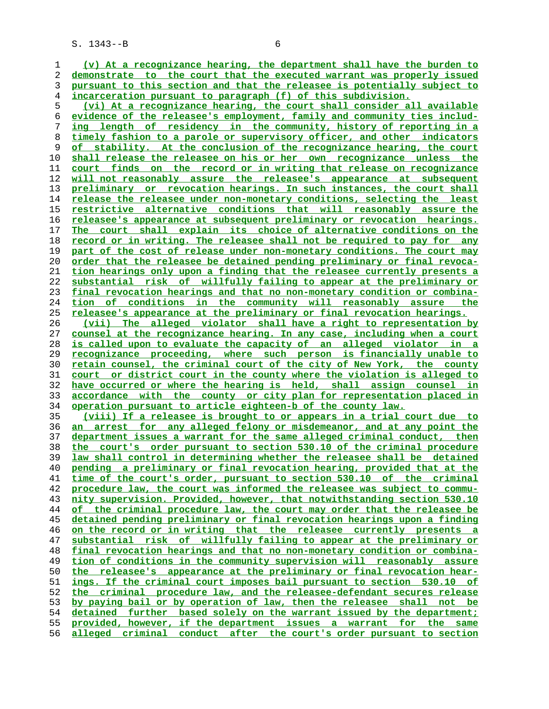**(v) At a recognizance hearing, the department shall have the burden to**

**demonstrate to the court that the executed warrant was properly issued pursuant to this section and that the releasee is potentially subject to incarceration pursuant to paragraph (f) of this subdivision. (vi) At a recognizance hearing, the court shall consider all available evidence of the releasee's employment, family and community ties includ- ing length of residency in the community, history of reporting in a timely fashion to a parole or supervisory officer, and other indicators of stability. At the conclusion of the recognizance hearing, the court shall release the releasee on his or her own recognizance unless the court finds on the record or in writing that release on recognizance will not reasonably assure the releasee's appearance at subsequent preliminary or revocation hearings. In such instances, the court shall release the releasee under non-monetary conditions, selecting the least restrictive alternative conditions that will reasonably assure the releasee's appearance at subsequent preliminary or revocation hearings. The court shall explain its choice of alternative conditions on the record or in writing. The releasee shall not be required to pay for any part of the cost of release under non-monetary conditions. The court may order that the releasee be detained pending preliminary or final revoca- tion hearings only upon a finding that the releasee currently presents a substantial risk of willfully failing to appear at the preliminary or final revocation hearings and that no non-monetary condition or combina- tion of conditions in the community will reasonably assure the releasee's appearance at the preliminary or final revocation hearings. (vii) The alleged violator shall have a right to representation by counsel at the recognizance hearing. In any case, including when a court is called upon to evaluate the capacity of an alleged violator in a recognizance proceeding, where such person is financially unable to retain counsel, the criminal court of the city of New York, the county court or district court in the county where the violation is alleged to have occurred or where the hearing is held, shall assign counsel in accordance with the county or city plan for representation placed in operation pursuant to article eighteen-b of the county law. (viii) If a releasee is brought to or appears in a trial court due to an arrest for any alleged felony or misdemeanor, and at any point the department issues a warrant for the same alleged criminal conduct, then the court's order pursuant to section 530.10 of the criminal procedure law shall control in determining whether the releasee shall be detained pending a preliminary or final revocation hearing, provided that at the time of the court's order, pursuant to section 530.10 of the criminal procedure law, the court was informed the releasee was subject to commu- nity supervision. Provided, however, that notwithstanding section 530.10 of the criminal procedure law, the court may order that the releasee be detained pending preliminary or final revocation hearings upon a finding on the record or in writing that the releasee currently presents a substantial risk of willfully failing to appear at the preliminary or final revocation hearings and that no non-monetary condition or combina- tion of conditions in the community supervision will reasonably assure the releasee's appearance at the preliminary or final revocation hear- ings. If the criminal court imposes bail pursuant to section 530.10 of the criminal procedure law, and the releasee-defendant secures release**

**by paying bail or by operation of law, then the releasee shall not be detained further based solely on the warrant issued by the department; provided, however, if the department issues a warrant for the same alleged criminal conduct after the court's order pursuant to section**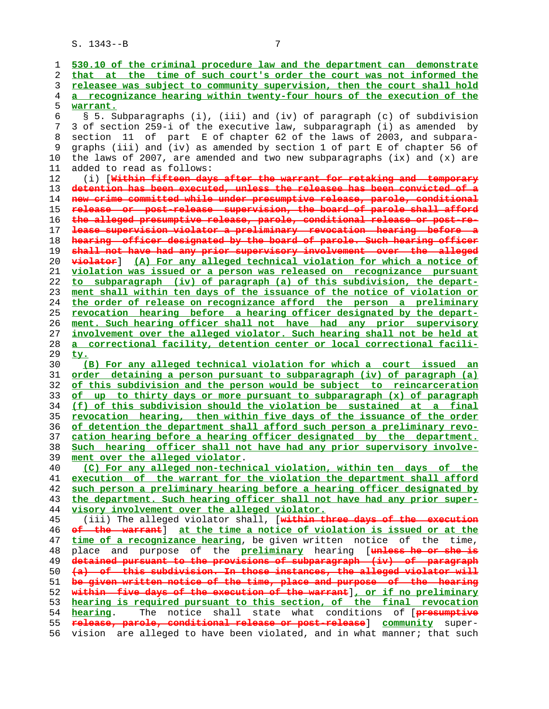| 1        | 530.10 of the criminal procedure law and the department can demonstrate                                                                       |
|----------|-----------------------------------------------------------------------------------------------------------------------------------------------|
| 2        | that at the time of such court's order the court was not informed the                                                                         |
| 3        | releasee was subject to community supervision, then the court shall hold                                                                      |
| 4        | a recognizance hearing within twenty-four hours of the execution of the                                                                       |
| 5        | warrant.                                                                                                                                      |
| 6        | § 5. Subparagraphs (i), (iii) and (iv) of paragraph (c) of subdivision                                                                        |
| 7        | 3 of section 259-i of the executive law, subparagraph (i) as amended by                                                                       |
| 8        | of part E of chapter 62 of the laws of 2003, and subpara-<br>11<br>section                                                                    |
| 9        | graphs (iii) and (iv) as amended by section 1 of part E of chapter 56 of                                                                      |
| 10       | the laws of 2007, are amended and two new subparagraphs (ix) and $(x)$ are                                                                    |
| 11       | added to read as follows:                                                                                                                     |
| 12       | (i) [Within fifteen days after the warrant for retaking and temporary                                                                         |
| 13       | detention has been executed, unless the releasee has been convicted of a                                                                      |
| 14       | new crime committed while under presumptive release, parole, conditional                                                                      |
| 15       | release or post-release supervision, the board of parole shall afford                                                                         |
| 16       | the alleged presumptive release, parole, conditional release or post-re-                                                                      |
| 17       | lease supervision violator a preliminary revocation hearing before a                                                                          |
| 18       | hearing officer designated by the board of parole. Such hearing officer                                                                       |
| 19       | shall not have had any prior supervisory involvement over the alleged                                                                         |
| 20       | violator] (A) For any alleged technical violation for which a notice of                                                                       |
| 21       | violation was issued or a person was released on recognizance pursuant                                                                        |
| 22       | to subparagraph (iv) of paragraph (a) of this subdivision, the depart-                                                                        |
| 23       | ment shall within ten days of the issuance of the notice of violation or                                                                      |
| 24       | the order of release on recognizance afford the person a preliminary                                                                          |
| 25       | revocation hearing before a hearing officer designated by the depart-                                                                         |
| 26       | ment. Such hearing officer shall not have had any prior supervisory                                                                           |
| 27       | involvement over the alleged violator. Such hearing shall not be held at                                                                      |
| 28       | a correctional facility, detention center or local correctional facili-                                                                       |
| 29       | ty.                                                                                                                                           |
| 30       | (B) For any alleged technical violation for which a court issued an                                                                           |
| 31       | order detaining a person pursuant to subparagraph (iv) of paragraph (a)                                                                       |
| 32       | of this subdivision and the person would be subject to reincarceration                                                                        |
| 33       | up to thirty days or more pursuant to subparagraph (x) of paragraph<br>of                                                                     |
| 34       | (f) of this subdivision should the violation be sustained at a final                                                                          |
| 35       | revocation hearing, then within five days of the issuance of the order                                                                        |
| 36       | of detention the department shall afford such person a preliminary revo-                                                                      |
| 37       | cation hearing before a hearing officer designated by the department.                                                                         |
| 38       | Such hearing officer shall not have had any prior supervisory involve-                                                                        |
| 39       | ment over the alleged violator.                                                                                                               |
| 40<br>41 | (C) For any alleged non-technical violation, within ten days of the<br>execution of the warrant for the violation the department shall afford |
| 42       | such person a preliminary hearing before a hearing officer designated by                                                                      |
| 43       | the department. Such hearing officer shall not have had any prior super-                                                                      |
| 44       | visory involvement over the alleged violator.                                                                                                 |
| 45       | (iii) The alleged violator shall, [within three days of the execution                                                                         |
| 46       | of the warrant] at the time a notice of violation is issued or at the                                                                         |
| 47       | time of a recognizance hearing, be given written notice of the time,                                                                          |
| 48       | place and purpose of the <b>preliminary</b> hearing [unless he or she is                                                                      |
| 49       | detained pursuant to the provisions of subparagraph (iv) of paragraph                                                                         |
| 50       | (a) of this subdivision. In those instances, the alleged violator will                                                                        |
| 51       | be given written notice of the time, place and purpose of the hearing                                                                         |
| 52       | within five days of the execution of the warrant], or if no preliminary                                                                       |
| 53       | hearing is required pursuant to this section, of the final revocation                                                                         |
| 54       | shall state what conditions of [presumptive<br>hearing.<br>The notice                                                                         |
| 55       | release, parole, conditional release or post-release community super-                                                                         |
| 56       | are alleged to have been violated, and in what manner; that such<br>vision                                                                    |
|          |                                                                                                                                               |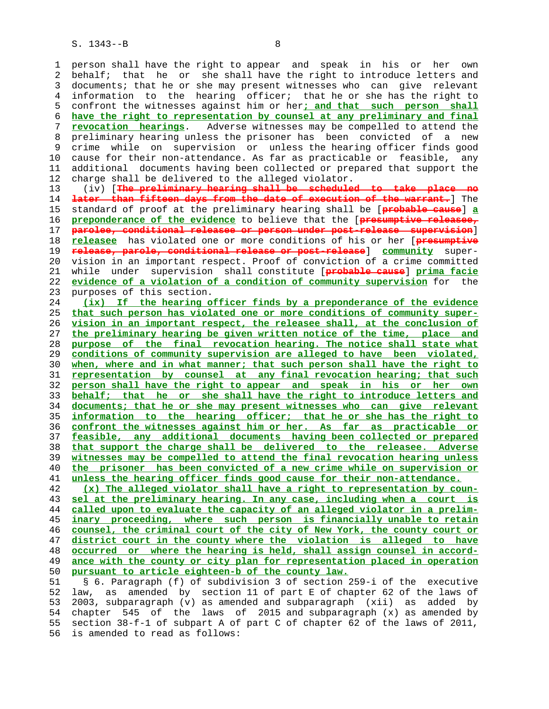1 person shall have the right to appear and speak in his or her own 2 behalf; that he or she shall have the right to introduce letters and 3 documents; that he or she may present witnesses who can give relevant 4 information to the hearing officer; that he or she has the right to 5 confront the witnesses against him or her**; and that such person shall have the right to representation by counsel at any preliminary and final revocation hearings**. Adverse witnesses may be compelled to attend the 8 preliminary hearing unless the prisoner has been convicted of a new crime while on supervision or unless the hearing officer finds good 10 cause for their non-attendance. As far as practicable or feasible, any 11 additional documents having been collected or prepared that support the 12 charge shall be delivered to the alleged violator. 13 (iv) [**The preliminary hearing shall be scheduled to take place no later than fifteen days from the date of execution of the warrant.**] The 15 standard of proof at the preliminary hearing shall be [**probable cause**] **a preponderance of the evidence** to believe that the [**presumptive releasee, parolee, conditional releasee or person under post-release supervision**] **releasee** has violated one or more conditions of his or her [**presumptive release, parole, conditional release or post-release**] **community** super- 20 vision in an important respect. Proof of conviction of a crime committed 21 while under supervision shall constitute [**probable cause**] **prima facie evidence of a violation of a condition of community supervision** for the 23 purposes of this section. **(ix) If the hearing officer finds by a preponderance of the evidence that such person has violated one or more conditions of community super- vision in an important respect, the releasee shall, at the conclusion of the preliminary hearing be given written notice of the time, place and purpose of the final revocation hearing. The notice shall state what conditions of community supervision are alleged to have been violated, when, where and in what manner; that such person shall have the right to representation by counsel at any final revocation hearing; that such person shall have the right to appear and speak in his or her own behalf; that he or she shall have the right to introduce letters and documents; that he or she may present witnesses who can give relevant information to the hearing officer; that he or she has the right to confront the witnesses against him or her. As far as practicable or feasible, any additional documents having been collected or prepared that support the charge shall be delivered to the releasee. Adverse witnesses may be compelled to attend the final revocation hearing unless the prisoner has been convicted of a new crime while on supervision or unless the hearing officer finds good cause for their non-attendance. (x) The alleged violator shall have a right to representation by coun- sel at the preliminary hearing. In any case, including when a court is called upon to evaluate the capacity of an alleged violator in a prelim- inary proceeding, where such person is financially unable to retain counsel, the criminal court of the city of New York, the county court or district court in the county where the violation is alleged to have occurred or where the hearing is held, shall assign counsel in accord- ance with the county or city plan for representation placed in operation pursuant to article eighteen-b of the county law.** 51 § 6. Paragraph (f) of subdivision 3 of section 259-i of the executive 52 law, as amended by section 11 of part E of chapter 62 of the laws of 53 2003, subparagraph (v) as amended and subparagraph (xii) as added by 54 chapter 545 of the laws of 2015 and subparagraph (x) as amended by

55 section 38-f-1 of subpart A of part C of chapter 62 of the laws of 2011,

56 is amended to read as follows: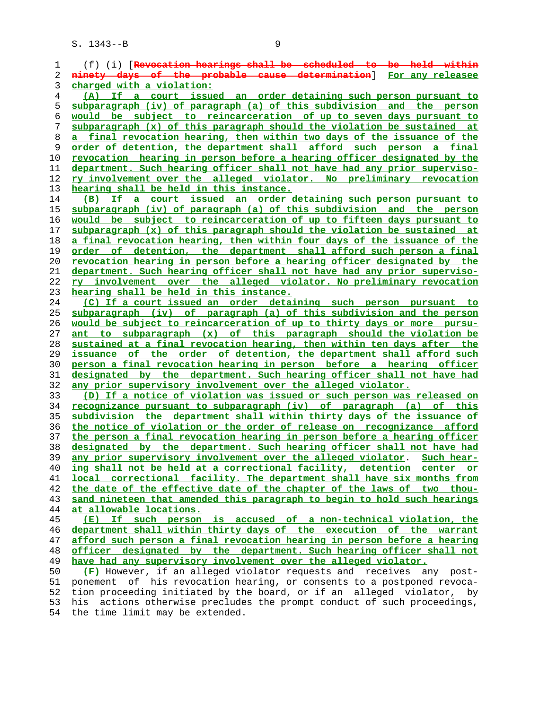1 (f) (i) [**Revocation hearings shall be scheduled to be held within ninety days of the probable cause determination**] **For any releasee charged with a violation: (A) If a court issued an order detaining such person pursuant to subparagraph (iv) of paragraph (a) of this subdivision and the person would be subject to reincarceration of up to seven days pursuant to subparagraph (x) of this paragraph should the violation be sustained at a final revocation hearing, then within two days of the issuance of the order of detention, the department shall afford such person a final revocation hearing in person before a hearing officer designated by the department. Such hearing officer shall not have had any prior superviso- ry involvement over the alleged violator. No preliminary revocation hearing shall be held in this instance. (B) If a court issued an order detaining such person pursuant to subparagraph (iv) of paragraph (a) of this subdivision and the person would be subject to reincarceration of up to fifteen days pursuant to subparagraph (x) of this paragraph should the violation be sustained at a final revocation hearing, then within four days of the issuance of the order of detention, the department shall afford such person a final revocation hearing in person before a hearing officer designated by the department. Such hearing officer shall not have had any prior superviso- ry involvement over the alleged violator. No preliminary revocation hearing shall be held in this instance. (C) If a court issued an order detaining such person pursuant to subparagraph (iv) of paragraph (a) of this subdivision and the person would be subject to reincarceration of up to thirty days or more pursu- ant to subparagraph (x) of this paragraph should the violation be sustained at a final revocation hearing, then within ten days after the issuance of the order of detention, the department shall afford such person a final revocation hearing in person before a hearing officer designated by the department. Such hearing officer shall not have had any prior supervisory involvement over the alleged violator. (D) If a notice of violation was issued or such person was released on recognizance pursuant to subparagraph (iv) of paragraph (a) of this subdivision the department shall within thirty days of the issuance of the notice of violation or the order of release on recognizance afford the person a final revocation hearing in person before a hearing officer designated by the department. Such hearing officer shall not have had any prior supervisory involvement over the alleged violator**. **Such hear- ing shall not be held at a correctional facility, detention center or local correctional facility. The department shall have six months from the date of the effective date of the chapter of the laws of two thou- sand nineteen that amended this paragraph to begin to hold such hearings at allowable locations. (E) If such person is accused of a non-technical violation, the department shall within thirty days of the execution of the warrant afford such person a final revocation hearing in person before a hearing officer designated by the department. Such hearing officer shall not** have had any supervisory involvement over the alleged violator. **(F)** However, if an alleged violator requests and receives any post- 51 ponement of his revocation hearing, or consents to a postponed revoca- 52 tion proceeding initiated by the board, or if an alleged violator, by 53 his actions otherwise precludes the prompt conduct of such proceedings, 54 the time limit may be extended.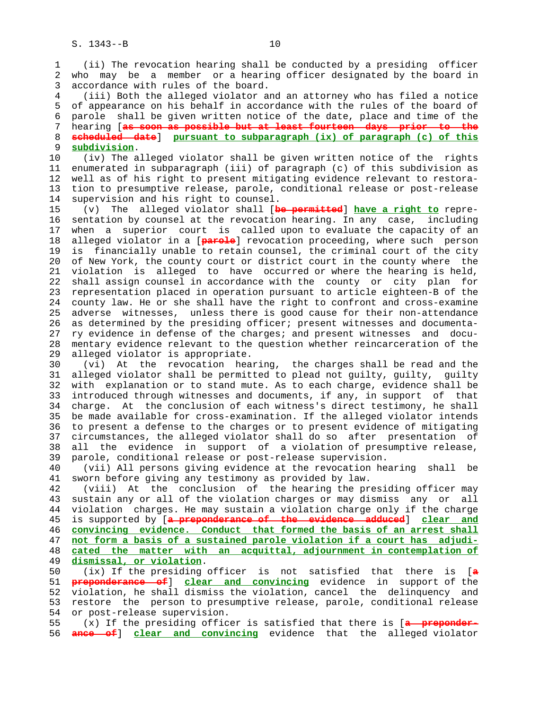1 (ii) The revocation hearing shall be conducted by a presiding officer 2 who may be a member or a hearing officer designated by the board in 3 accordance with rules of the board.

 4 (iii) Both the alleged violator and an attorney who has filed a notice 5 of appearance on his behalf in accordance with the rules of the board of 6 parole shall be given written notice of the date, place and time of the 7 hearing [**as soon as possible but at least fourteen days prior to the** 8 **scheduled date**] **pursuant to subparagraph (ix) of paragraph (c) of this** subdivision.

 10 (iv) The alleged violator shall be given written notice of the rights 11 enumerated in subparagraph (iii) of paragraph (c) of this subdivision as 12 well as of his right to present mitigating evidence relevant to restora- 13 tion to presumptive release, parole, conditional release or post-release 14 supervision and his right to counsel.

 15 (v) The alleged violator shall [**be permitted**] **have a right to** repre- 16 sentation by counsel at the revocation hearing. In any case, including 17 when a superior court is called upon to evaluate the capacity of an 18 alleged violator in a [**parole**] revocation proceeding, where such person 19 is financially unable to retain counsel, the criminal court of the city 20 of New York, the county court or district court in the county where the 21 violation is alleged to have occurred or where the hearing is held, 22 shall assign counsel in accordance with the county or city plan for 23 representation placed in operation pursuant to article eighteen-B of the 24 county law. He or she shall have the right to confront and cross-examine 25 adverse witnesses, unless there is good cause for their non-attendance 26 as determined by the presiding officer; present witnesses and documenta- 27 ry evidence in defense of the charges; and present witnesses and docu- 28 mentary evidence relevant to the question whether reincarceration of the 29 alleged violator is appropriate.

 30 (vi) At the revocation hearing, the charges shall be read and the 31 alleged violator shall be permitted to plead not guilty, guilty, guilty 32 with explanation or to stand mute. As to each charge, evidence shall be 33 introduced through witnesses and documents, if any, in support of that 34 charge. At the conclusion of each witness's direct testimony, he shall 35 be made available for cross-examination. If the alleged violator intends 36 to present a defense to the charges or to present evidence of mitigating 37 circumstances, the alleged violator shall do so after presentation of 38 all the evidence in support of a violation of presumptive release, 39 parole, conditional release or post-release supervision.

 40 (vii) All persons giving evidence at the revocation hearing shall be 41 sworn before giving any testimony as provided by law.

 42 (viii) At the conclusion of the hearing the presiding officer may 43 sustain any or all of the violation charges or may dismiss any or all 44 violation charges. He may sustain a violation charge only if the charge 45 is supported by [**a preponderance of the evidence adduced**] **clear and** 46 **convincing evidence. Conduct that formed the basis of an arrest shall** 47 **not form a basis of a sustained parole violation if a court has adjudi-** 48 **cated the matter with an acquittal, adjournment in contemplation of** 49 **dismissal, or violation**.

 50 (ix) If the presiding officer is not satisfied that there is [**a** 51 **preponderance of**] **clear and convincing** evidence in support of the 52 violation, he shall dismiss the violation, cancel the delinquency and 53 restore the person to presumptive release, parole, conditional release 54 or post-release supervision.

 55 (x) If the presiding officer is satisfied that there is [**a preponder-** 56 **ance of**] **clear and convincing** evidence that the alleged violator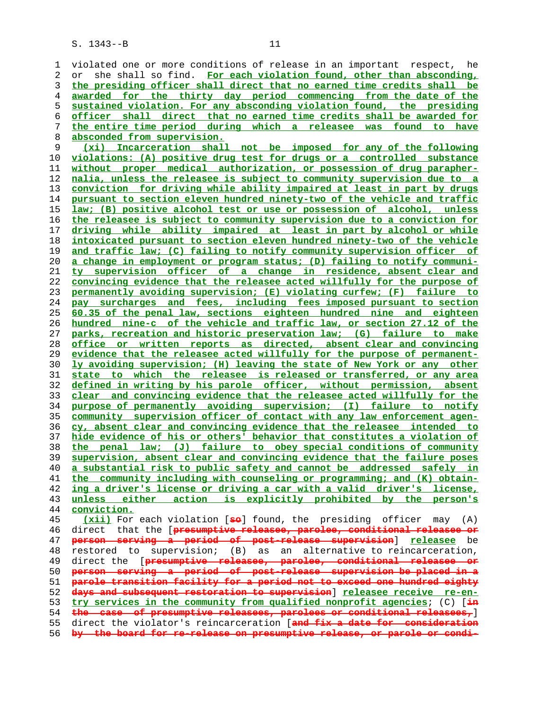1 violated one or more conditions of release in an important respect, he 2 or she shall so find. **For each violation found, other than absconding, the presiding officer shall direct that no earned time credits shall be awarded for the thirty day period commencing from the date of the sustained violation. For any absconding violation found, the presiding officer shall direct that no earned time credits shall be awarded for the entire time period during which a releasee was found to have absconded from supervision. (xi) Incarceration shall not be imposed for any of the following violations: (A) positive drug test for drugs or a controlled substance without proper medical authorization, or possession of drug parapher- nalia, unless the releasee is subject to community supervision due to a conviction for driving while ability impaired at least in part by drugs pursuant to section eleven hundred ninety-two of the vehicle and traffic law; (B) positive alcohol test or use or possession of alcohol, unless the releasee is subject to community supervision due to a conviction for driving while ability impaired at least in part by alcohol or while intoxicated pursuant to section eleven hundred ninety-two of the vehicle and traffic law; (C) failing to notify community supervision officer of a change in employment or program status; (D) failing to notify communi- ty supervision officer of a change in residence, absent clear and convincing evidence that the releasee acted willfully for the purpose of permanently avoiding supervision; (E) violating curfew; (F) failure to pay surcharges and fees, including fees imposed pursuant to section 60.35 of the penal law, sections eighteen hundred nine and eighteen hundred nine-c of the vehicle and traffic law, or section 27.12 of the parks, recreation and historic preservation law; (G) failure to make office or written reports as directed, absent clear and convincing evidence that the releasee acted willfully for the purpose of permanent- ly avoiding supervision; (H) leaving the state of New York or any other state to which the releasee is released or transferred, or any area defined in writing by his parole officer, without permission, absent clear and convincing evidence that the releasee acted willfully for the purpose of permanently avoiding supervision; (I) failure to notify community supervision officer of contact with any law enforcement agen- cy, absent clear and convincing evidence that the releasee intended to hide evidence of his or others' behavior that constitutes a violation of the penal law; (J) failure to obey special conditions of community supervision, absent clear and convincing evidence that the failure poses a substantial risk to public safety and cannot be addressed safely in the community including with counseling or programming; and (K) obtain- ing a driver's license or driving a car with a valid driver's license, unless either action is explicitly prohibited by the person's conviction. (xii)** For each violation [**so**] found, the presiding officer may (A) 46 direct that the [**presumptive releasee, parolee, conditional releasee or person serving a period of post-release supervision**] **releasee** be 48 restored to supervision; (B) as an alternative to reincarceration, 49 direct the [**presumptive releasee, parolee, conditional releasee or person serving a period of post-release supervision be placed in a parole transition facility for a period not to exceed one hundred eighty days and subsequent restoration to supervision**] **releasee receive re-en- try services in the community from qualified nonprofit agencies**; (C) [**in the case of presumptive releasees, parolees or conditional releasees,**] 55 direct the violator's reincarceration [**and fix a date for consideration by the board for re-release on presumptive release, or parole or condi-**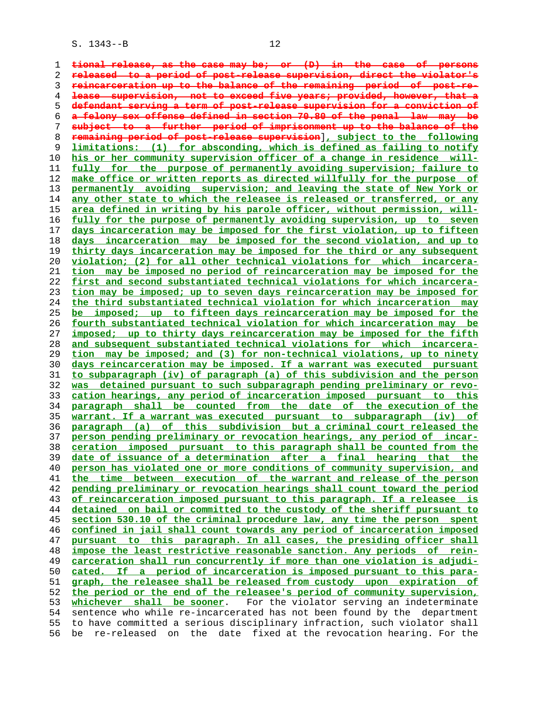**tional release, as the case may be; or (D) in the case of persons released to a period of post-release supervision, direct the violator's reincarceration up to the balance of the remaining period of post-re- lease supervision, not to exceed five years; provided, however, that a defendant serving a term of post-release supervision for a conviction of a felony sex offense defined in section 70.80 of the penal law may be subject to a further period of imprisonment up to the balance of the remaining period of post-release supervision**]**, subject to the following limitations: (1) for absconding, which is defined as failing to notify his or her community supervision officer of a change in residence will- fully for the purpose of permanently avoiding supervision; failure to make office or written reports as directed willfully for the purpose of permanently avoiding supervision; and leaving the state of New York or any other state to which the releasee is released or transferred, or any area defined in writing by his parole officer, without permission, will- fully for the purpose of permanently avoiding supervision, up to seven days incarceration may be imposed for the first violation, up to fifteen days incarceration may be imposed for the second violation, and up to thirty days incarceration may be imposed for the third or any subsequent violation; (2) for all other technical violations for which incarcera- tion may be imposed no period of reincarceration may be imposed for the first and second substantiated technical violations for which incarcera- tion may be imposed; up to seven days reincarceration may be imposed for the third substantiated technical violation for which incarceration may be imposed; up to fifteen days reincarceration may be imposed for the fourth substantiated technical violation for which incarceration may be imposed; up to thirty days reincarceration may be imposed for the fifth and subsequent substantiated technical violations for which incarcera- tion may be imposed; and (3) for non-technical violations, up to ninety days reincarceration may be imposed. If a warrant was executed pursuant to subparagraph (iv) of paragraph (a) of this subdivision and the person was detained pursuant to such subparagraph pending preliminary or revo- cation hearings, any period of incarceration imposed pursuant to this paragraph shall be counted from the date of the execution of the warrant. If a warrant was executed pursuant to subparagraph (iv) of paragraph (a) of this subdivision but a criminal court released the person pending preliminary or revocation hearings, any period of incar- ceration imposed pursuant to this paragraph shall be counted from the date of issuance of a determination after a final hearing that the person has violated one or more conditions of community supervision, and the time between execution of the warrant and release of the person pending preliminary or revocation hearings shall count toward the period of reincarceration imposed pursuant to this paragraph. If a releasee is detained on bail or committed to the custody of the sheriff pursuant to section 530.10 of the criminal procedure law, any time the person spent confined in jail shall count towards any period of incarceration imposed pursuant to this paragraph. In all cases, the presiding officer shall impose the least restrictive reasonable sanction. Any periods of rein- carceration shall run concurrently if more than one violation is adjudi- cated. If a period of incarceration is imposed pursuant to this para- graph, the releasee shall be released from custody upon expiration of the period or the end of the releasee's period of community supervision, whichever shall be sooner**. For the violator serving an indeterminate 54 sentence who while re-incarcerated has not been found by the department 55 to have committed a serious disciplinary infraction, such violator shall 56 be re-released on the date fixed at the revocation hearing. For the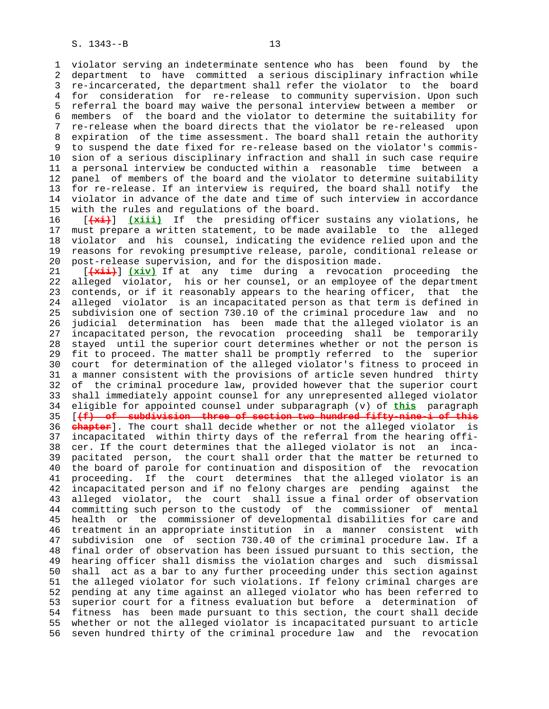1 violator serving an indeterminate sentence who has been found by the 2 department to have committed a serious disciplinary infraction while 3 re-incarcerated, the department shall refer the violator to the board 4 for consideration for re-release to community supervision. Upon such 5 referral the board may waive the personal interview between a member or 6 members of the board and the violator to determine the suitability for 7 re-release when the board directs that the violator be re-released upon 8 expiration of the time assessment. The board shall retain the authority<br>9 to suspend the date fixed for re-release based on the violator's commis- 9 to suspend the date fixed for re-release based on the violator's commis- 10 sion of a serious disciplinary infraction and shall in such case require 11 a personal interview be conducted within a reasonable time between a 12 panel of members of the board and the violator to determine suitability 13 for re-release. If an interview is required, the board shall notify the 14 violator in advance of the date and time of such interview in accordance 15 with the rules and regulations of the board.

 16 [**(xi)**] **(xiii)** If the presiding officer sustains any violations, he 17 must prepare a written statement, to be made available to the alleged 18 violator and his counsel, indicating the evidence relied upon and the 19 reasons for revoking presumptive release, parole, conditional release or 20 post-release supervision, and for the disposition made.

 21 [**(xii)**] **(xiv)** If at any time during a revocation proceeding the 22 alleged violator, his or her counsel, or an employee of the department 23 contends, or if it reasonably appears to the hearing officer, that the 24 alleged violator is an incapacitated person as that term is defined in 25 subdivision one of section 730.10 of the criminal procedure law and no 26 judicial determination has been made that the alleged violator is an 27 incapacitated person, the revocation proceeding shall be temporarily 28 stayed until the superior court determines whether or not the person is 29 fit to proceed. The matter shall be promptly referred to the superior 30 court for determination of the alleged violator's fitness to proceed in 31 a manner consistent with the provisions of article seven hundred thirty 32 of the criminal procedure law, provided however that the superior court 33 shall immediately appoint counsel for any unrepresented alleged violator 34 eligible for appointed counsel under subparagraph (v) of **this** paragraph 35 [**(f) of subdivision three of section two hundred fifty-nine-i of this** 36 **chapter**]. The court shall decide whether or not the alleged violator is 37 incapacitated within thirty days of the referral from the hearing offi- 38 cer. If the court determines that the alleged violator is not an inca- 39 pacitated person, the court shall order that the matter be returned to 40 the board of parole for continuation and disposition of the revocation 41 proceeding. If the court determines that the alleged violator is an 42 incapacitated person and if no felony charges are pending against the 43 alleged violator, the court shall issue a final order of observation 44 committing such person to the custody of the commissioner of mental 45 health or the commissioner of developmental disabilities for care and 46 treatment in an appropriate institution in a manner consistent with 47 subdivision one of section 730.40 of the criminal procedure law. If a 48 final order of observation has been issued pursuant to this section, the 49 hearing officer shall dismiss the violation charges and such dismissal 50 shall act as a bar to any further proceeding under this section against 51 the alleged violator for such violations. If felony criminal charges are 52 pending at any time against an alleged violator who has been referred to 53 superior court for a fitness evaluation but before a determination of 54 fitness has been made pursuant to this section, the court shall decide 55 whether or not the alleged violator is incapacitated pursuant to article 56 seven hundred thirty of the criminal procedure law and the revocation